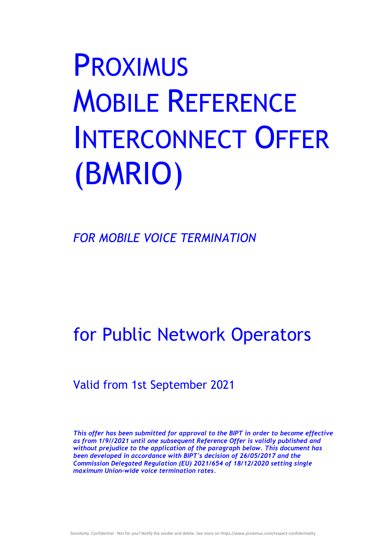# PROXIMUS MOBILE REFERENCE INTERCONNECT OFFER (BMRIO)

*FOR MOBILE VOICE TERMINATION*

## for Public Network Operators

## Valid from 1st September 2021

*This offer has been submitted for approval to the BIPT in order to become effective as from 1/9//2021 until one subsequent Reference Offer is validly published and without prejudice to the application of the paragraph below. This document has been developed in accordance with BIPT's decision of 26/05/2017 and the Commission Delegated Regulation (EU) 2021/654 of 18/12/2020 setting single maximum Union-wide voice termination rates.*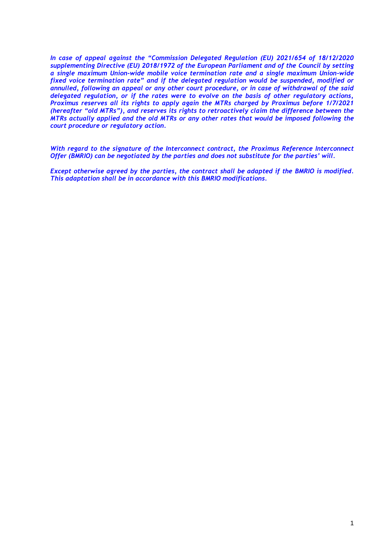*In case of appeal against the "Commission Delegated Regulation (EU) 2021/654 of 18/12/2020 supplementing Directive (EU) 2018/1972 of the European Parliament and of the Council by setting a single maximum Union-wide mobile voice termination rate and a single maximum Union-wide fixed voice termination rate" and if the delegated regulation would be suspended, modified or annulled, following an appeal or any other court procedure, or in case of withdrawal of the said delegated regulation, or if the rates were to evolve on the basis of other regulatory actions, Proximus reserves all its rights to apply again the MTRs charged by Proximus before 1/7/2021 (hereafter "old MTRs"), and reserves its rights to retroactively claim the difference between the MTRs actually applied and the old MTRs or any other rates that would be imposed following the court procedure or regulatory action.* 

*With regard to the signature of the Interconnect contract, the Proximus Reference Interconnect Offer (BMRIO) can be negotiated by the parties and does not substitute for the parties' will.*

*Except otherwise agreed by the parties, the contract shall be adapted if the BMRIO is modified. This adaptation shall be in accordance with this BMRIO modifications.*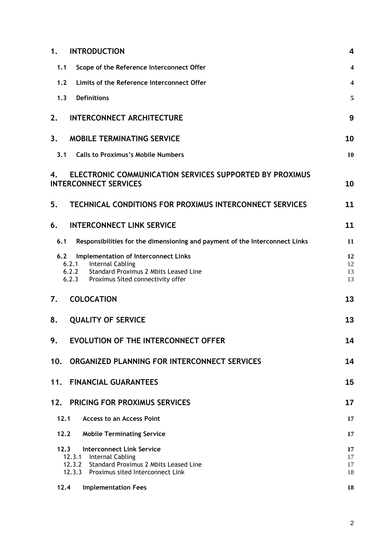| 1.                                                        | <b>INTRODUCTION</b>                                                                                                                                       | 4                    |
|-----------------------------------------------------------|-----------------------------------------------------------------------------------------------------------------------------------------------------------|----------------------|
| 1.1                                                       | Scope of the Reference Interconnect Offer                                                                                                                 | 4                    |
| 1.2                                                       | Limits of the Reference Interconnect Offer                                                                                                                | 4                    |
| 1.3                                                       | <b>Definitions</b>                                                                                                                                        | 5                    |
| 2.                                                        | <b>INTERCONNECT ARCHITECTURE</b>                                                                                                                          | 9                    |
| 3.                                                        | <b>MOBILE TERMINATING SERVICE</b>                                                                                                                         | 10                   |
| 3.1                                                       | <b>Calls to Proximus's Mobile Numbers</b>                                                                                                                 | <b>10</b>            |
| 4.                                                        | <b>ELECTRONIC COMMUNICATION SERVICES SUPPORTED BY PROXIMUS</b><br><b>INTERCONNECT SERVICES</b>                                                            | 10                   |
| 5.                                                        | TECHNICAL CONDITIONS FOR PROXIMUS INTERCONNECT SERVICES                                                                                                   | 11                   |
| 6.                                                        | <b>INTERCONNECT LINK SERVICE</b>                                                                                                                          | 11                   |
| 6.1                                                       | Responsibilities for the dimensioning and payment of the Interconnect Links                                                                               | 11                   |
| 6.2<br>6.2.1                                              | Implementation of Interconnect Links<br>Internal Cabling<br>Standard Proximus 2 Mbits Leased Line<br>6.2.2<br>6.2.3<br>Proximus Sited connectivity offer  | 12<br>12<br>13<br>13 |
| 7.                                                        | <b>COLOCATION</b>                                                                                                                                         | 13                   |
| 8.                                                        | <b>QUALITY OF SERVICE</b>                                                                                                                                 | 13                   |
| 9.                                                        | <b>EVOLUTION OF THE INTERCONNECT OFFER</b>                                                                                                                | 14                   |
| ORGANIZED PLANNING FOR INTERCONNECT SERVICES<br>10.<br>14 |                                                                                                                                                           |                      |
| 11.                                                       | <b>FINANCIAL GUARANTEES</b>                                                                                                                               | 15                   |
|                                                           | 12. PRICING FOR PROXIMUS SERVICES                                                                                                                         | 17                   |
| 12.1                                                      | <b>Access to an Access Point</b>                                                                                                                          | 17                   |
| 12.2                                                      | <b>Mobile Terminating Service</b>                                                                                                                         | 17                   |
| 12.3                                                      | <b>Interconnect Link Service</b><br>12.3.1 Internal Cabling<br>12.3.2 Standard Proximus 2 Mbits Leased Line<br>12.3.3<br>Proximus sited Interconnect Link | 17<br>17<br>17<br>18 |
| 12.4                                                      | <b>Implementation Fees</b>                                                                                                                                | 18                   |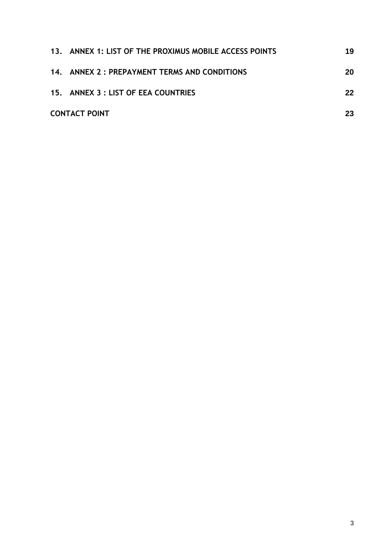| 13. ANNEX 1: LIST OF THE PROXIMUS MOBILE ACCESS POINTS | 19 |
|--------------------------------------------------------|----|
| 14. ANNEX 2: PREPAYMENT TERMS AND CONDITIONS           | 20 |
| 15. ANNEX 3 : LIST OF EEA COUNTRIES                    | 22 |
| <b>CONTACT POINT</b>                                   | 23 |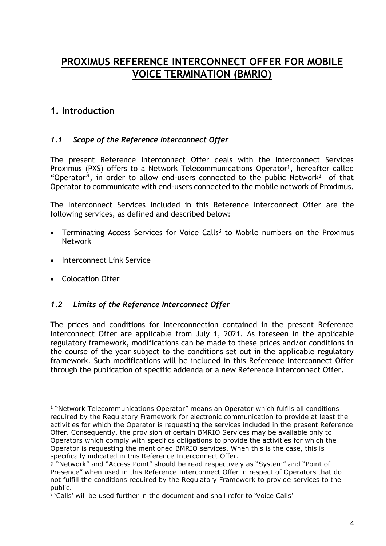## **PROXIMUS REFERENCE INTERCONNECT OFFER FOR MOBILE VOICE TERMINATION (BMRIO)**

## **1. Introduction**

## *1.1 Scope of the Reference Interconnect Offer*

The present Reference Interconnect Offer deals with the Interconnect Services Proximus (PXS) offers to a Network Telecommunications Operator<sup>1</sup>, hereafter called "Operator", in order to allow end-users connected to the public Network<sup>2</sup> of that Operator to communicate with end-users connected to the mobile network of Proximus.

The Interconnect Services included in this Reference Interconnect Offer are the following services, as defined and described below:

- Terminating Access Services for Voice Calls<sup>3</sup> to Mobile numbers on the Proximus Network
- Interconnect Link Service
- Colocation Offer

## *1.2 Limits of the Reference Interconnect Offer*

The prices and conditions for Interconnection contained in the present Reference Interconnect Offer are applicable from July 1, 2021. As foreseen in the applicable regulatory framework, modifications can be made to these prices and/or conditions in the course of the year subject to the conditions set out in the applicable regulatory framework. Such modifications will be included in this Reference Interconnect Offer through the publication of specific addenda or a new Reference Interconnect Offer.

<sup>&</sup>lt;sup>1</sup> "Network Telecommunications Operator" means an Operator which fulfils all conditions required by the Regulatory Framework for electronic communication to provide at least the activities for which the Operator is requesting the services included in the present Reference Offer. Consequently, the provision of certain BMRIO Services may be available only to Operators which comply with specifics obligations to provide the activities for which the Operator is requesting the mentioned BMRIO services. When this is the case, this is specifically indicated in this Reference Interconnect Offer.

<sup>2</sup> "Network" and "Access Point" should be read respectively as "System" and "Point of Presence" when used in this Reference Interconnect Offer in respect of Operators that do not fulfill the conditions required by the Regulatory Framework to provide services to the public.

<sup>3</sup> 'Calls' will be used further in the document and shall refer to 'Voice Calls'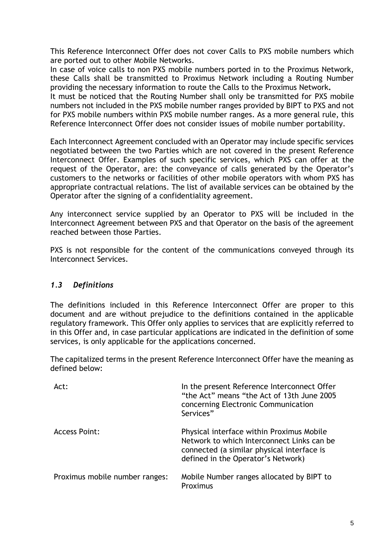This Reference Interconnect Offer does not cover Calls to PXS mobile numbers which are ported out to other Mobile Networks.

In case of voice calls to non PXS mobile numbers ported in to the Proximus Network, these Calls shall be transmitted to Proximus Network including a Routing Number providing the necessary information to route the Calls to the Proximus Network**.**

It must be noticed that the Routing Number shall only be transmitted for PXS mobile numbers not included in the PXS mobile number ranges provided by BIPT to PXS and not for PXS mobile numbers within PXS mobile number ranges. As a more general rule, this Reference Interconnect Offer does not consider issues of mobile number portability.

Each Interconnect Agreement concluded with an Operator may include specific services negotiated between the two Parties which are not covered in the present Reference Interconnect Offer. Examples of such specific services, which PXS can offer at the request of the Operator, are: the conveyance of calls generated by the Operator's customers to the networks or facilities of other mobile operators with whom PXS has appropriate contractual relations. The list of available services can be obtained by the Operator after the signing of a confidentiality agreement.

Any interconnect service supplied by an Operator to PXS will be included in the Interconnect Agreement between PXS and that Operator on the basis of the agreement reached between those Parties.

PXS is not responsible for the content of the communications conveyed through its Interconnect Services.

## *1.3 Definitions*

The definitions included in this Reference Interconnect Offer are proper to this document and are without prejudice to the definitions contained in the applicable regulatory framework. This Offer only applies to services that are explicitly referred to in this Offer and, in case particular applications are indicated in the definition of some services, is only applicable for the applications concerned.

The capitalized terms in the present Reference Interconnect Offer have the meaning as defined below:

| Act:                           | In the present Reference Interconnect Offer<br>"the Act" means "the Act of 13th June 2005<br>concerning Electronic Communication<br>Services"                               |
|--------------------------------|-----------------------------------------------------------------------------------------------------------------------------------------------------------------------------|
| <b>Access Point:</b>           | Physical interface within Proximus Mobile<br>Network to which Interconnect Links can be<br>connected (a similar physical interface is<br>defined in the Operator's Network) |
| Proximus mobile number ranges: | Mobile Number ranges allocated by BIPT to<br>Proximus                                                                                                                       |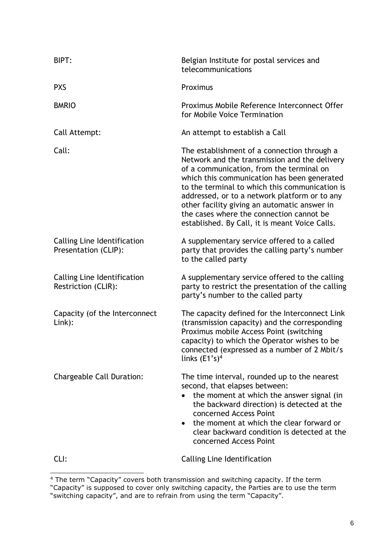| BIPT:                                               | Belgian Institute for postal services and<br>telecommunications                                                                                                                                                                                                                                                                                                                                                                          |
|-----------------------------------------------------|------------------------------------------------------------------------------------------------------------------------------------------------------------------------------------------------------------------------------------------------------------------------------------------------------------------------------------------------------------------------------------------------------------------------------------------|
| <b>PXS</b>                                          | Proximus                                                                                                                                                                                                                                                                                                                                                                                                                                 |
| <b>BMRIO</b>                                        | Proximus Mobile Reference Interconnect Offer<br>for Mobile Voice Termination                                                                                                                                                                                                                                                                                                                                                             |
| Call Attempt:                                       | An attempt to establish a Call                                                                                                                                                                                                                                                                                                                                                                                                           |
| Call:                                               | The establishment of a connection through a<br>Network and the transmission and the delivery<br>of a communication, from the terminal on<br>which this communication has been generated<br>to the terminal to which this communication is<br>addressed, or to a network platform or to any<br>other facility giving an automatic answer in<br>the cases where the connection cannot be<br>established. By Call, it is meant Voice Calls. |
| Calling Line Identification<br>Presentation (CLIP): | A supplementary service offered to a called<br>party that provides the calling party's number<br>to the called party                                                                                                                                                                                                                                                                                                                     |
| Calling Line Identification<br>Restriction (CLIR):  | A supplementary service offered to the calling<br>party to restrict the presentation of the calling<br>party's number to the called party                                                                                                                                                                                                                                                                                                |
| Capacity (of the Interconnect<br>Link):             | The capacity defined for the Interconnect Link<br>(transmission capacity) and the corresponding<br>Proximus mobile Access Point (switching<br>capacity) to which the Operator wishes to be<br>connected (expressed as a number of 2 Mbit/s<br>links $(E1's)^4$                                                                                                                                                                           |
| <b>Chargeable Call Duration:</b>                    | The time interval, rounded up to the nearest<br>second, that elapses between:<br>• the moment at which the answer signal (in<br>the backward direction) is detected at the<br>concerned Access Point<br>the moment at which the clear forward or<br>clear backward condition is detected at the<br>concerned Access Point                                                                                                                |
| CLI:                                                | Calling Line Identification                                                                                                                                                                                                                                                                                                                                                                                                              |

 $4$  The term "Capacity" covers both transmission and switching capacity. If the term

<sup>&</sup>quot;Capacity" is supposed to cover only switching capacity, the Parties are to use the term "switching capacity", and are to refrain from using the term "Capacity".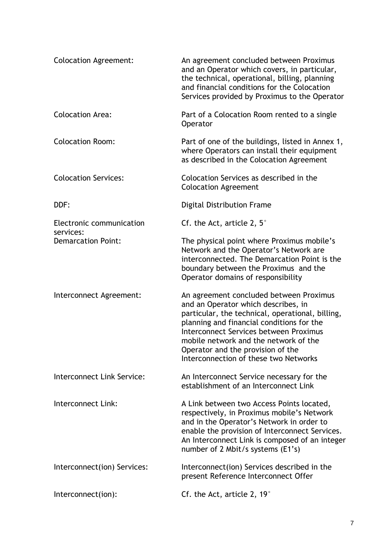| <b>Colocation Agreement:</b>           | An agreement concluded between Proximus<br>and an Operator which covers, in particular,<br>the technical, operational, billing, planning<br>and financial conditions for the Colocation<br>Services provided by Proximus to the Operator                                                                                                                |
|----------------------------------------|---------------------------------------------------------------------------------------------------------------------------------------------------------------------------------------------------------------------------------------------------------------------------------------------------------------------------------------------------------|
| <b>Colocation Area:</b>                | Part of a Colocation Room rented to a single<br>Operator                                                                                                                                                                                                                                                                                                |
| <b>Colocation Room:</b>                | Part of one of the buildings, listed in Annex 1,<br>where Operators can install their equipment<br>as described in the Colocation Agreement                                                                                                                                                                                                             |
| <b>Colocation Services:</b>            | Colocation Services as described in the<br><b>Colocation Agreement</b>                                                                                                                                                                                                                                                                                  |
| DDF:                                   | Digital Distribution Frame                                                                                                                                                                                                                                                                                                                              |
| Electronic communication               | Cf. the Act, article 2, $5^\circ$                                                                                                                                                                                                                                                                                                                       |
| services:<br><b>Demarcation Point:</b> | The physical point where Proximus mobile's<br>Network and the Operator's Network are<br>interconnected. The Demarcation Point is the<br>boundary between the Proximus and the<br>Operator domains of responsibility                                                                                                                                     |
| Interconnect Agreement:                | An agreement concluded between Proximus<br>and an Operator which describes, in<br>particular, the technical, operational, billing,<br>planning and financial conditions for the<br><b>Interconnect Services between Proximus</b><br>mobile network and the network of the<br>Operator and the provision of the<br>Interconnection of these two Networks |
| Interconnect Link Service:             | An Interconnect Service necessary for the<br>establishment of an Interconnect Link                                                                                                                                                                                                                                                                      |
| Interconnect Link:                     | A Link between two Access Points located,<br>respectively, in Proximus mobile's Network<br>and in the Operator's Network in order to<br>enable the provision of Interconnect Services.<br>An Interconnect Link is composed of an integer<br>number of 2 Mbit/s systems (E1's)                                                                           |
| Interconnect(ion) Services:            | Interconnect(ion) Services described in the<br>present Reference Interconnect Offer                                                                                                                                                                                                                                                                     |
| Interconnect(ion):                     | Cf. the Act, article 2, $19^\circ$                                                                                                                                                                                                                                                                                                                      |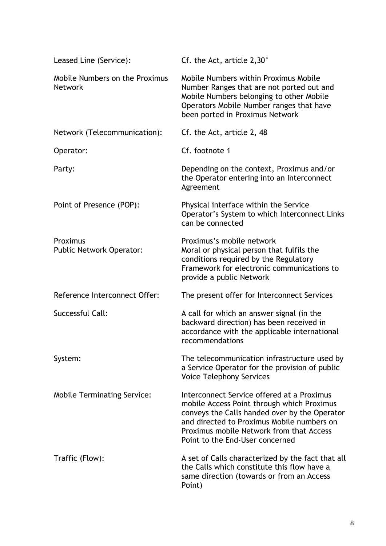| Leased Line (Service):                           | Cf. the Act, article $2,30^{\circ}$                                                                                                                                                                                                                                    |
|--------------------------------------------------|------------------------------------------------------------------------------------------------------------------------------------------------------------------------------------------------------------------------------------------------------------------------|
| Mobile Numbers on the Proximus<br><b>Network</b> | Mobile Numbers within Proximus Mobile<br>Number Ranges that are not ported out and<br>Mobile Numbers belonging to other Mobile<br>Operators Mobile Number ranges that have<br>been ported in Proximus Network                                                          |
| Network (Telecommunication):                     | Cf. the Act, article 2, 48                                                                                                                                                                                                                                             |
| Operator:                                        | Cf. footnote 1                                                                                                                                                                                                                                                         |
| Party:                                           | Depending on the context, Proximus and/or<br>the Operator entering into an Interconnect<br>Agreement                                                                                                                                                                   |
| Point of Presence (POP):                         | Physical interface within the Service<br>Operator's System to which Interconnect Links<br>can be connected                                                                                                                                                             |
| Proximus<br><b>Public Network Operator:</b>      | Proximus's mobile network<br>Moral or physical person that fulfils the<br>conditions required by the Regulatory<br>Framework for electronic communications to<br>provide a public Network                                                                              |
| Reference Interconnect Offer:                    | The present offer for Interconnect Services                                                                                                                                                                                                                            |
| Successful Call:                                 | A call for which an answer signal (in the<br>backward direction) has been received in<br>accordance with the applicable international<br>recommendations                                                                                                               |
| System:                                          | The telecommunication infrastructure used by<br>a Service Operator for the provision of public<br><b>Voice Telephony Services</b>                                                                                                                                      |
| <b>Mobile Terminating Service:</b>               | Interconnect Service offered at a Proximus<br>mobile Access Point through which Proximus<br>conveys the Calls handed over by the Operator<br>and directed to Proximus Mobile numbers on<br>Proximus mobile Network from that Access<br>Point to the End-User concerned |
| Traffic (Flow):                                  | A set of Calls characterized by the fact that all<br>the Calls which constitute this flow have a<br>same direction (towards or from an Access<br>Point)                                                                                                                |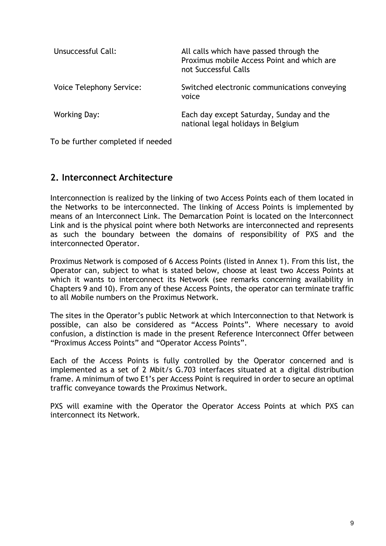| Unsuccessful Call:       | All calls which have passed through the<br>Proximus mobile Access Point and which are<br>not Successful Calls |
|--------------------------|---------------------------------------------------------------------------------------------------------------|
| Voice Telephony Service: | Switched electronic communications conveying<br>voice                                                         |
| <b>Working Day:</b>      | Each day except Saturday, Sunday and the<br>national legal holidays in Belgium                                |

To be further completed if needed

## **2. Interconnect Architecture**

Interconnection is realized by the linking of two Access Points each of them located in the Networks to be interconnected. The linking of Access Points is implemented by means of an Interconnect Link. The Demarcation Point is located on the Interconnect Link and is the physical point where both Networks are interconnected and represents as such the boundary between the domains of responsibility of PXS and the interconnected Operator.

Proximus Network is composed of 6 Access Points (listed in Annex 1). From this list, the Operator can, subject to what is stated below, choose at least two Access Points at which it wants to interconnect its Network (see remarks concerning availability in Chapters 9 and 10). From any of these Access Points, the operator can terminate traffic to all Mobile numbers on the Proximus Network.

The sites in the Operator's public Network at which Interconnection to that Network is possible, can also be considered as "Access Points". Where necessary to avoid confusion, a distinction is made in the present Reference Interconnect Offer between "Proximus Access Points" and "Operator Access Points".

Each of the Access Points is fully controlled by the Operator concerned and is implemented as a set of 2 Mbit/s G.703 interfaces situated at a digital distribution frame. A minimum of two E1's per Access Point is required in order to secure an optimal traffic conveyance towards the Proximus Network.

PXS will examine with the Operator the Operator Access Points at which PXS can interconnect its Network.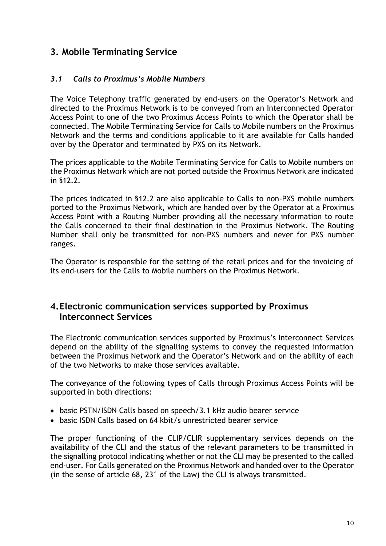## **3. Mobile Terminating Service**

## *3.1 Calls to Proximus's Mobile Numbers*

The Voice Telephony traffic generated by end-users on the Operator's Network and directed to the Proximus Network is to be conveyed from an Interconnected Operator Access Point to one of the two Proximus Access Points to which the Operator shall be connected. The Mobile Terminating Service for Calls to Mobile numbers on the Proximus Network and the terms and conditions applicable to it are available for Calls handed over by the Operator and terminated by PXS on its Network.

The prices applicable to the Mobile Terminating Service for Calls to Mobile numbers on the Proximus Network which are not ported outside the Proximus Network are indicated in §12.2.

The prices indicated in §12.2 are also applicable to Calls to non-PXS mobile numbers ported to the Proximus Network, which are handed over by the Operator at a Proximus Access Point with a Routing Number providing all the necessary information to route the Calls concerned to their final destination in the Proximus Network. The Routing Number shall only be transmitted for non-PXS numbers and never for PXS number ranges.

The Operator is responsible for the setting of the retail prices and for the invoicing of its end-users for the Calls to Mobile numbers on the Proximus Network.

## **4.Electronic communication services supported by Proximus Interconnect Services**

The Electronic communication services supported by Proximus's Interconnect Services depend on the ability of the signalling systems to convey the requested information between the Proximus Network and the Operator's Network and on the ability of each of the two Networks to make those services available.

The conveyance of the following types of Calls through Proximus Access Points will be supported in both directions:

- basic PSTN/ISDN Calls based on speech/3.1 kHz audio bearer service
- basic ISDN Calls based on 64 kbit/s unrestricted bearer service

The proper functioning of the CLIP/CLIR supplementary services depends on the availability of the CLI and the status of the relevant parameters to be transmitted in the signalling protocol indicating whether or not the CLI may be presented to the called end-user. For Calls generated on the Proximus Network and handed over to the Operator (in the sense of article 68, 23° of the Law) the CLI is always transmitted.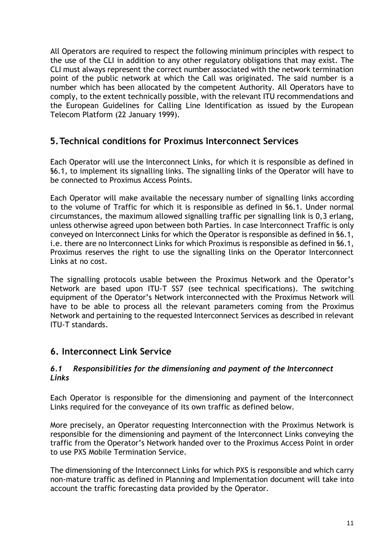All Operators are required to respect the following minimum principles with respect to the use of the CLI in addition to any other regulatory obligations that may exist. The CLI must always represent the correct number associated with the network termination point of the public network at which the Call was originated. The said number is a number which has been allocated by the competent Authority. All Operators have to comply, to the extent technically possible, with the relevant ITU recommendations and the European Guidelines for Calling Line Identification as issued by the European Telecom Platform (22 January 1999).

## **5.Technical conditions for Proximus Interconnect Services**

Each Operator will use the Interconnect Links, for which it is responsible as defined in §6.1, to implement its signalling links. The signalling links of the Operator will have to be connected to Proximus Access Points.

Each Operator will make available the necessary number of signalling links according to the volume of Traffic for which it is responsible as defined in §6.1. Under normal circumstances, the maximum allowed signalling traffic per signalling link is 0,3 erlang, unless otherwise agreed upon between both Parties. In case Interconnect Traffic is only conveyed on Interconnect Links for which the Operator is responsible as defined in §6.1, i.e. there are no Interconnect Links for which Proximus is responsible as defined in §6.1, Proximus reserves the right to use the signalling links on the Operator Interconnect Links at no cost.

The signalling protocols usable between the Proximus Network and the Operator's Network are based upon ITU-T SS7 (see technical specifications). The switching equipment of the Operator's Network interconnected with the Proximus Network will have to be able to process all the relevant parameters coming from the Proximus Network and pertaining to the requested Interconnect Services as described in relevant ITU-T standards.

## **6. Interconnect Link Service**

## *6.1 Responsibilities for the dimensioning and payment of the Interconnect Links*

Each Operator is responsible for the dimensioning and payment of the Interconnect Links required for the conveyance of its own traffic as defined below.

More precisely, an Operator requesting Interconnection with the Proximus Network is responsible for the dimensioning and payment of the Interconnect Links conveying the traffic from the Operator's Network handed over to the Proximus Access Point in order to use PXS Mobile Termination Service.

The dimensioning of the Interconnect Links for which PXS is responsible and which carry non-mature traffic as defined in Planning and Implementation document will take into account the traffic forecasting data provided by the Operator.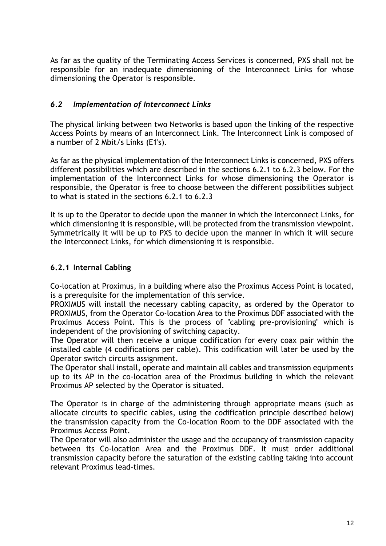As far as the quality of the Terminating Access Services is concerned, PXS shall not be responsible for an inadequate dimensioning of the Interconnect Links for whose dimensioning the Operator is responsible.

## *6.2 Implementation of Interconnect Links*

The physical linking between two Networks is based upon the linking of the respective Access Points by means of an Interconnect Link. The Interconnect Link is composed of a number of 2 Mbit/s Links (E1's).

As far as the physical implementation of the Interconnect Links is concerned, PXS offers different possibilities which are described in the sections 6.2.1 to 6.2.3 below. For the implementation of the Interconnect Links for whose dimensioning the Operator is responsible, the Operator is free to choose between the different possibilities subject to what is stated in the sections 6.2.1 to 6.2.3

It is up to the Operator to decide upon the manner in which the Interconnect Links, for which dimensioning it is responsible, will be protected from the transmission viewpoint. Symmetrically it will be up to PXS to decide upon the manner in which it will secure the Interconnect Links, for which dimensioning it is responsible.

## **6.2.1 Internal Cabling**

Co-location at Proximus, in a building where also the Proximus Access Point is located, is a prerequisite for the implementation of this service.

PROXIMUS will install the necessary cabling capacity, as ordered by the Operator to PROXIMUS, from the Operator Co-location Area to the Proximus DDF associated with the Proximus Access Point. This is the process of "cabling pre-provisioning" which is independent of the provisioning of switching capacity.

The Operator will then receive a unique codification for every coax pair within the installed cable (4 codifications per cable). This codification will later be used by the Operator switch circuits assignment.

The Operator shall install, operate and maintain all cables and transmission equipments up to its AP in the co-location area of the Proximus building in which the relevant Proximus AP selected by the Operator is situated.

The Operator is in charge of the administering through appropriate means (such as allocate circuits to specific cables, using the codification principle described below) the transmission capacity from the Co-location Room to the DDF associated with the Proximus Access Point.

The Operator will also administer the usage and the occupancy of transmission capacity between its Co-location Area and the Proximus DDF. It must order additional transmission capacity before the saturation of the existing cabling taking into account relevant Proximus lead-times.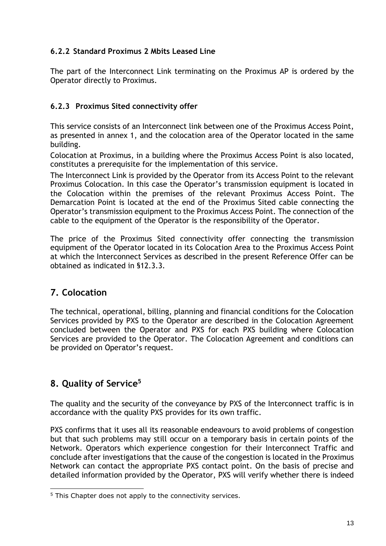## **6.2.2 Standard Proximus 2 Mbits Leased Line**

The part of the Interconnect Link terminating on the Proximus AP is ordered by the Operator directly to Proximus.

## **6.2.3 Proximus Sited connectivity offer**

This service consists of an Interconnect link between one of the Proximus Access Point, as presented in annex 1, and the colocation area of the Operator located in the same building.

Colocation at Proximus, in a building where the Proximus Access Point is also located, constitutes a prerequisite for the implementation of this service.

The Interconnect Link is provided by the Operator from its Access Point to the relevant Proximus Colocation. In this case the Operator's transmission equipment is located in the Colocation within the premises of the relevant Proximus Access Point. The Demarcation Point is located at the end of the Proximus Sited cable connecting the Operator's transmission equipment to the Proximus Access Point. The connection of the cable to the equipment of the Operator is the responsibility of the Operator.

The price of the Proximus Sited connectivity offer connecting the transmission equipment of the Operator located in its Colocation Area to the Proximus Access Point at which the Interconnect Services as described in the present Reference Offer can be obtained as indicated in [§12.3.3.](#page-18-0)

## **7. Colocation**

The technical, operational, billing, planning and financial conditions for the Colocation Services provided by PXS to the Operator are described in the Colocation Agreement concluded between the Operator and PXS for each PXS building where Colocation Services are provided to the Operator. The Colocation Agreement and conditions can be provided on Operator's request.

## **8. Quality of Service<sup>5</sup>**

The quality and the security of the conveyance by PXS of the Interconnect traffic is in accordance with the quality PXS provides for its own traffic.

PXS confirms that it uses all its reasonable endeavours to avoid problems of congestion but that such problems may still occur on a temporary basis in certain points of the Network. Operators which experience congestion for their Interconnect Traffic and conclude after investigations that the cause of the congestion is located in the Proximus Network can contact the appropriate PXS contact point. On the basis of precise and detailed information provided by the Operator, PXS will verify whether there is indeed

<sup>&</sup>lt;sup>5</sup> This Chapter does not apply to the connectivity services.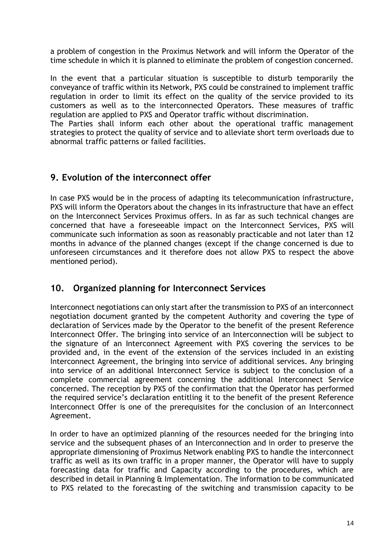a problem of congestion in the Proximus Network and will inform the Operator of the time schedule in which it is planned to eliminate the problem of congestion concerned.

In the event that a particular situation is susceptible to disturb temporarily the conveyance of traffic within its Network, PXS could be constrained to implement traffic regulation in order to limit its effect on the quality of the service provided to its customers as well as to the interconnected Operators. These measures of traffic regulation are applied to PXS and Operator traffic without discrimination.

The Parties shall inform each other about the operational traffic management strategies to protect the quality of service and to alleviate short term overloads due to abnormal traffic patterns or failed facilities.

## **9. Evolution of the interconnect offer**

In case PXS would be in the process of adapting its telecommunication infrastructure, PXS will inform the Operators about the changes in its infrastructure that have an effect on the Interconnect Services Proximus offers. In as far as such technical changes are concerned that have a foreseeable impact on the Interconnect Services, PXS will communicate such information as soon as reasonably practicable and not later than 12 months in advance of the planned changes (except if the change concerned is due to unforeseen circumstances and it therefore does not allow PXS to respect the above mentioned period).

## **10. Organized planning for Interconnect Services**

Interconnect negotiations can only start after the transmission to PXS of an interconnect negotiation document granted by the competent Authority and covering the type of declaration of Services made by the Operator to the benefit of the present Reference Interconnect Offer. The bringing into service of an Interconnection will be subject to the signature of an Interconnect Agreement with PXS covering the services to be provided and, in the event of the extension of the services included in an existing Interconnect Agreement, the bringing into service of additional services. Any bringing into service of an additional Interconnect Service is subject to the conclusion of a complete commercial agreement concerning the additional Interconnect Service concerned. The reception by PXS of the confirmation that the Operator has performed the required service's declaration entitling it to the benefit of the present Reference Interconnect Offer is one of the prerequisites for the conclusion of an Interconnect Agreement.

In order to have an optimized planning of the resources needed for the bringing into service and the subsequent phases of an Interconnection and in order to preserve the appropriate dimensioning of Proximus Network enabling PXS to handle the interconnect traffic as well as its own traffic in a proper manner, the Operator will have to supply forecasting data for traffic and Capacity according to the procedures, which are described in detail in Planning & Implementation. The information to be communicated to PXS related to the forecasting of the switching and transmission capacity to be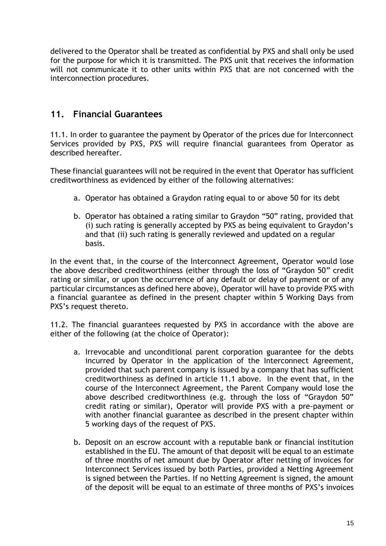delivered to the Operator shall be treated as confidential by PXS and shall only be used for the purpose for which it is transmitted. The PXS unit that receives the information will not communicate it to other units within PXS that are not concerned with the interconnection procedures.

## **11. Financial Guarantees**

11.1. In order to guarantee the payment by Operator of the prices due for Interconnect Services provided by PXS, PXS will require financial guarantees from Operator as described hereafter.

These financial guarantees will not be required in the event that Operator has sufficient creditworthiness as evidenced by either of the following alternatives:

- <span id="page-15-0"></span>a. Operator has obtained a Graydon rating equal to or above 50 for its debt
- b. Operator has obtained a rating similar to Graydon "50" rating, provided that (i) such rating is generally accepted by PXS as being equivalent to Graydon's and that (ii) such rating is generally reviewed and updated on a regular basis.

In the event that, in the course of the Interconnect Agreement, Operator would lose the above described creditworthiness (either through the loss of "Graydon 50" credit rating or similar, or upon the occurrence of any default or delay of payment or of any particular circumstances as defined here above), Operator will have to provide PXS with a financial guarantee as defined in the present chapter within 5 Working Days from PXS's request thereto.

11.2. The financial guarantees requested by PXS in accordance with the above are either of the following (at the choice of Operator):

- a. Irrevocable and unconditional parent corporation guarantee for the debts incurred by Operator in the application of the Interconnect Agreement, provided that such parent company is issued by a company that has sufficient creditworthiness as defined in article 11.1 above. In the event that, in the course of the Interconnect Agreement, the Parent Company would lose the above described creditworthiness (e.g. through the loss of "Graydon 50" credit rating or similar), Operator will provide PXS with a pre-payment or with another financial guarantee as described in the present chapter within 5 working days of the request of PXS.
- <span id="page-15-1"></span>b. Deposit on an escrow account with a reputable bank or financial institution established in the EU. The amount of that deposit will be equal to an estimate of three months of net amount due by Operator after netting of invoices for Interconnect Services issued by both Parties, provided a Netting Agreement is signed between the Parties. If no Netting Agreement is signed, the amount of the deposit will be equal to an estimate of three months of PXS's invoices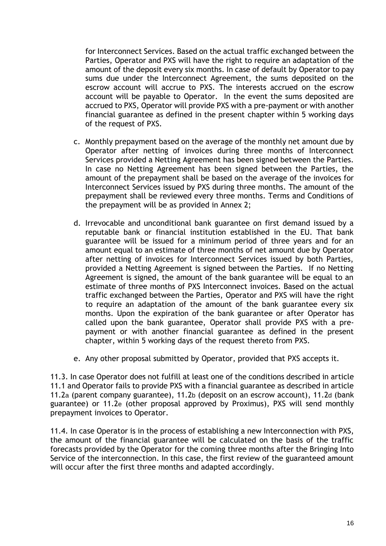for Interconnect Services. Based on the actual traffic exchanged between the Parties, Operator and PXS will have the right to require an adaptation of the amount of the deposit every six months. In case of default by Operator to pay sums due under the Interconnect Agreement, the sums deposited on the escrow account will accrue to PXS. The interests accrued on the escrow account will be payable to Operator. In the event the sums deposited are accrued to PXS, Operator will provide PXS with a pre-payment or with another financial guarantee as defined in the present chapter within 5 working days of the request of PXS.

- c. Monthly prepayment based on the average of the monthly net amount due by Operator after netting of invoices during three months of Interconnect Services provided a Netting Agreement has been signed between the Parties. In case no Netting Agreement has been signed between the Parties, the amount of the prepayment shall be based on the average of the invoices for Interconnect Services issued by PXS during three months. The amount of the prepayment shall be reviewed every three months. Terms and Conditions of the prepayment will be as provided in Annex 2;
- <span id="page-16-0"></span>d. Irrevocable and unconditional bank guarantee on first demand issued by a reputable bank or financial institution established in the EU. That bank guarantee will be issued for a minimum period of three years and for an amount equal to an estimate of three months of net amount due by Operator after netting of invoices for Interconnect Services issued by both Parties, provided a Netting Agreement is signed between the Parties. If no Netting Agreement is signed, the amount of the bank guarantee will be equal to an estimate of three months of PXS Interconnect invoices. Based on the actual traffic exchanged between the Parties, Operator and PXS will have the right to require an adaptation of the amount of the bank guarantee every six months. Upon the expiration of the bank guarantee or after Operator has called upon the bank guarantee, Operator shall provide PXS with a prepayment or with another financial guarantee as defined in the present chapter, within 5 working days of the request thereto from PXS.
- e. Any other proposal submitted by Operator, provided that PXS accepts it.

<span id="page-16-1"></span>11.3. In case Operator does not fulfill at least one of the conditions described in article 11.1 and Operator fails to provide PXS with a financial guarantee as described in article 11.2[a](#page-15-0) (parent company guarantee), 11.2[b](#page-15-1) (deposit on an escrow account), 11.2[d](#page-16-0) (bank guarantee) or 11.2[e](#page-16-1) (other proposal approved by Proximus), PXS will send monthly prepayment invoices to Operator.

11.4. In case Operator is in the process of establishing a new Interconnection with PXS, the amount of the financial guarantee will be calculated on the basis of the traffic forecasts provided by the Operator for the coming three months after the Bringing Into Service of the interconnection. In this case, the first review of the guaranteed amount will occur after the first three months and adapted accordingly.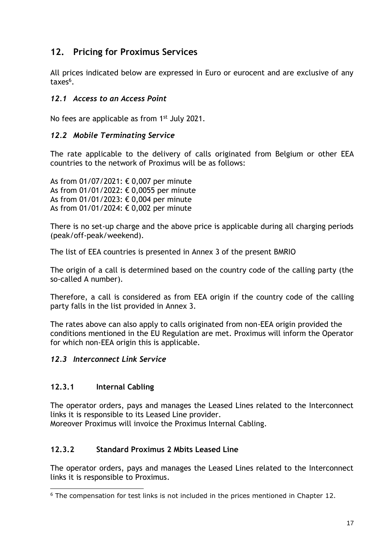## <span id="page-17-0"></span>**12. Pricing for Proximus Services**

All prices indicated below are expressed in Euro or eurocent and are exclusive of any taxes<sup>6</sup>.

## *12.1 Access to an Access Point*

No fees are applicable as from 1<sup>st</sup> July 2021.

## *12.2 Mobile Terminating Service*

The rate applicable to the delivery of calls originated from Belgium or other EEA countries to the network of Proximus will be as follows:

As from 01/07/2021: € 0,007 per minute As from 01/01/2022: € 0,0055 per minute As from 01/01/2023: € 0,004 per minute As from 01/01/2024: € 0,002 per minute

There is no set-up charge and the above price is applicable during all charging periods (peak/off-peak/weekend).

The list of EEA countries is presented in Annex 3 of the present BMRIO

The origin of a call is determined based on the country code of the calling party (the so-called A number).

Therefore, a call is considered as from EEA origin if the country code of the calling party falls in the list provided in Annex 3.

The rates above can also apply to calls originated from non-EEA origin provided the conditions mentioned in the EU Regulation are met. Proximus will inform the Operator for which non-EEA origin this is applicable.

## *12.3 Interconnect Link Service*

## **12.3.1 Internal Cabling**

The operator orders, pays and manages the Leased Lines related to the Interconnect links it is responsible to its Leased Line provider. Moreover Proximus will invoice the Proximus Internal Cabling.

## **12.3.2 Standard Proximus 2 Mbits Leased Line**

The operator orders, pays and manages the Leased Lines related to the Interconnect links it is responsible to Proximus.

 $6$  The compensation for test links is not included in the prices mentioned in Chapter [12.](#page-17-0)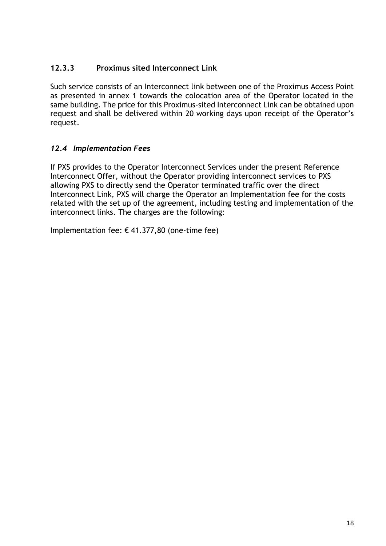## <span id="page-18-0"></span>**12.3.3 Proximus sited Interconnect Link**

Such service consists of an Interconnect link between one of the Proximus Access Point as presented in annex 1 towards the colocation area of the Operator located in the same building. The price for this Proximus-sited Interconnect Link can be obtained upon request and shall be delivered within 20 working days upon receipt of the Operator's request.

## *12.4 Implementation Fees*

If PXS provides to the Operator Interconnect Services under the present Reference Interconnect Offer, without the Operator providing interconnect services to PXS allowing PXS to directly send the Operator terminated traffic over the direct Interconnect Link, PXS will charge the Operator an Implementation fee for the costs related with the set up of the agreement, including testing and implementation of the interconnect links. The charges are the following:

Implementation fee:  $\epsilon$  41.377,80 (one-time fee)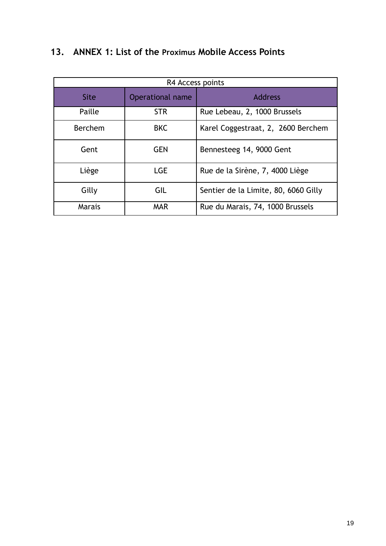## **13. ANNEX 1: List of the Proximus Mobile Access Points**

| R4 Access points |                  |                                      |
|------------------|------------------|--------------------------------------|
| <b>Site</b>      | Operational name | <b>Address</b>                       |
| Paille           | <b>STR</b>       | Rue Lebeau, 2, 1000 Brussels         |
| Berchem          | <b>BKC</b>       | Karel Coggestraat, 2, 2600 Berchem   |
| Gent             | <b>GEN</b>       | Bennesteeg 14, 9000 Gent             |
| Liège            | <b>LGE</b>       | Rue de la Sirène, 7, 4000 Liège      |
| Gilly            | GIL              | Sentier de la Limite, 80, 6060 Gilly |
| <b>Marais</b>    | <b>MAR</b>       | Rue du Marais, 74, 1000 Brussels     |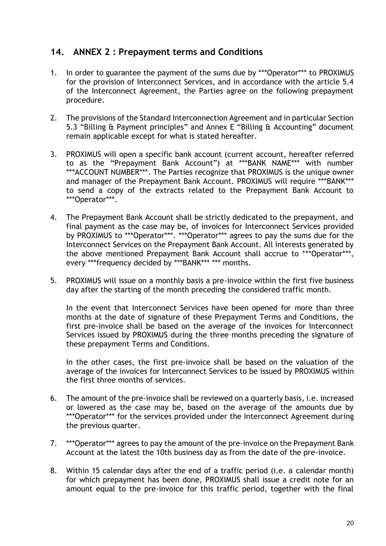## **14. ANNEX 2 : Prepayment terms and Conditions**

- 1. In order to guarantee the payment of the sums due by \*\*\*Operator\*\*\* to PROXIMUS for the provision of Interconnect Services, and in accordance with the article 5.4 of the Interconnect Agreement, the Parties agree on the following prepayment procedure.
- 2. The provisions of the Standard Interconnection Agreement and in particular Section 5.3 "Billing & Payment principles" and Annex E "Billing & Accounting" document remain applicable except for what is stated hereafter.
- 3. PROXIMUS will open a specific bank account (current account, hereafter referred to as the "Prepayment Bank Account") at \*\*\*BANK NAME\*\*\* with number \*\*\*ACCOUNT NUMBER\*\*\*. The Parties recognize that PROXIMUS is the unique owner and manager of the Prepayment Bank Account. PROXIMUS will require \*\*\*BANK\*\*\* to send a copy of the extracts related to the Prepayment Bank Account to \*\*\*Operator\*\*\*.
- 4. The Prepayment Bank Account shall be strictly dedicated to the prepayment, and final payment as the case may be, of invoices for Interconnect Services provided by PROXIMUS to \*\*\*Operator\*\*\*. \*\*\*Operator\*\*\* agrees to pay the sums due for the Interconnect Services on the Prepayment Bank Account. All interests generated by the above mentioned Prepayment Bank Account shall accrue to \*\*\*Operator\*\*\*, every \*\*\*frequency decided by \*\*\*BANK\*\*\* \*\*\* months.
- 5. PROXIMUS will issue on a monthly basis a pre-invoice within the first five business day after the starting of the month preceding the considered traffic month.

In the event that Interconnect Services have been opened for more than three months at the date of signature of these Prepayment Terms and Conditions, the first pre-invoice shall be based on the average of the invoices for Interconnect Services issued by PROXIMUS during the three months preceding the signature of these prepayment Terms and Conditions.

In the other cases, the first pre-invoice shall be based on the valuation of the average of the invoices for Interconnect Services to be issued by PROXIMUS within the first three months of services.

- 6. The amount of the pre-invoice shall be reviewed on a quarterly basis, i.e. increased or lowered as the case may be, based on the average of the amounts due by \*\*\*Operator\*\*\* for the services provided under the Interconnect Agreement during the previous quarter.
- 7. \*\*\*Operator\*\*\* agrees to pay the amount of the pre-invoice on the Prepayment Bank Account at the latest the 10th business day as from the date of the pre-invoice.
- 8. Within 15 calendar days after the end of a traffic period (i.e. a calendar month) for which prepayment has been done, PROXIMUS shall issue a credit note for an amount equal to the pre-invoice for this traffic period, together with the final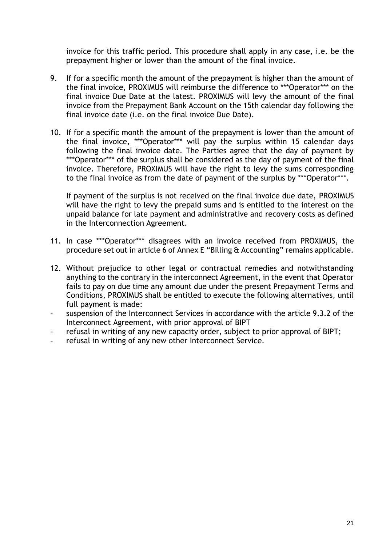invoice for this traffic period. This procedure shall apply in any case, i.e. be the prepayment higher or lower than the amount of the final invoice.

- 9. If for a specific month the amount of the prepayment is higher than the amount of the final invoice, PROXIMUS will reimburse the difference to \*\*\*Operator\*\*\* on the final invoice Due Date at the latest. PROXIMUS will levy the amount of the final invoice from the Prepayment Bank Account on the 15th calendar day following the final invoice date (i.e. on the final invoice Due Date).
- 10. If for a specific month the amount of the prepayment is lower than the amount of the final invoice, \*\*\*Operator\*\*\* will pay the surplus within 15 calendar days following the final invoice date. The Parties agree that the day of payment by \*\*\*Operator\*\*\* of the surplus shall be considered as the day of payment of the final invoice. Therefore, PROXIMUS will have the right to levy the sums corresponding to the final invoice as from the date of payment of the surplus by \*\*\*Operator\*\*\*.

If payment of the surplus is not received on the final invoice due date, PROXIMUS will have the right to levy the prepaid sums and is entitled to the interest on the unpaid balance for late payment and administrative and recovery costs as defined in the Interconnection Agreement.

- 11. In case \*\*\*Operator\*\*\* disagrees with an invoice received from PROXIMUS, the procedure set out in article 6 of Annex E "Billing & Accounting" remains applicable.
- 12. Without prejudice to other legal or contractual remedies and notwithstanding anything to the contrary in the interconnect Agreement, in the event that Operator fails to pay on due time any amount due under the present Prepayment Terms and Conditions, PROXIMUS shall be entitled to execute the following alternatives, until full payment is made:
- suspension of the Interconnect Services in accordance with the article 9.3.2 of the Interconnect Agreement, with prior approval of BIPT
- refusal in writing of any new capacity order, subject to prior approval of BIPT;
- refusal in writing of any new other Interconnect Service.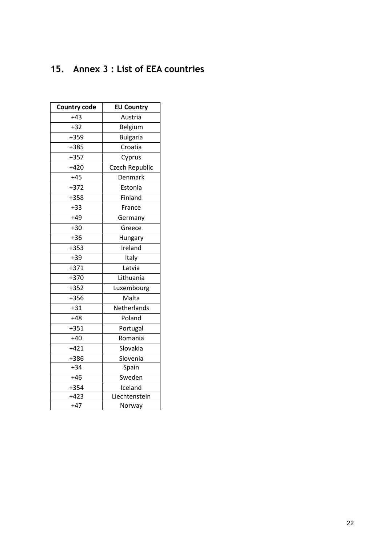## **15. Annex 3 : List of EEA countries**

| <b>Country code</b> | <b>EU Country</b> |
|---------------------|-------------------|
| $+43$               | Austria           |
| $+32$               | Belgium           |
| $+359$              | <b>Bulgaria</b>   |
| +385                | Croatia           |
| $+357$              | Cyprus            |
| $+420$              | Czech Republic    |
| $+45$               | Denmark           |
| $+372$              | Estonia           |
| +358                | Finland           |
| $-$ +33             | France            |
| $+49$               | Germany           |
| $+30$               | Greece            |
| $+36$               | Hungary           |
| $+353$              | Ireland           |
| $+39$               | Italy             |
| $+371$              | Latvia            |
| $+370$              | Lithuania         |
| $+352$              | Luxembourg        |
| $+356$              | Malta             |
| $+31$               | Netherlands       |
| $+48$               | Poland            |
| $+351$              | Portugal          |
| $+40$               | Romania           |
| $+421$              | Slovakia          |
| +386                | Slovenia          |
| $+34$               | Spain             |
| $+46$               | Sweden            |
| $+354$              | Iceland           |
| $+423$              | Liechtenstein     |
| $+47$               | Norway            |